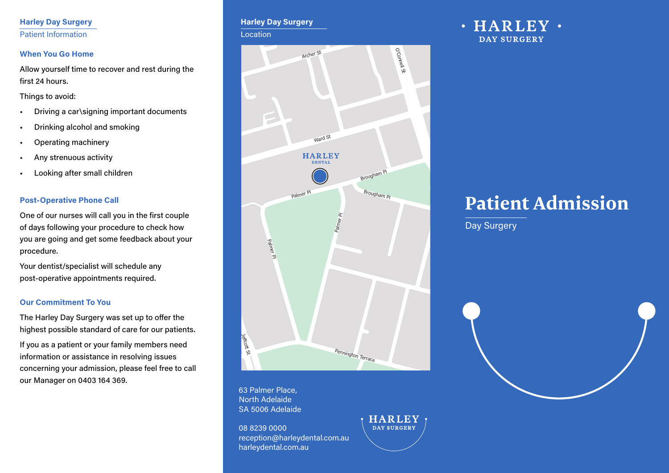#### **Harley Day Surgery** Patient Information

#### **When You Go Home**

Allow yourself time to recover and rest during the first 24 hours.

Things to avoid:

- Driving a car\signing important documents
- Drinking alcohol and smoking
- Operating machinery
- Any strenuous activity
- Looking after small children

#### **Post-Operative Phone Call**

One of our nurses will call you in the first couple of days following your procedure to check how you are going and get some feedback about your procedure.

Your dentist/specialist will schedule any post-operative appointments required.

#### **Our Commitment To You**

The Harley Day Surgery was set up to offer the highest possible standard of care for our patients.

If you as a patient or your family members need information or assistance in resolving issues concerning your admission, please feel free to call our Manager on 0403 164 369.

#### **Harley Day Surgery**

**Location** 



**HARLEY DAY SURGERY** 

63 Palmer Place, North Adelaide SA 5006 Adelaide

08 8239 0000 reception@harleydental.com.au harleydental.com.au

 $\cdot$  HARLEY  $\cdot$ **DAY SURGERY** 

# **Patient Admission**

Day Surgery